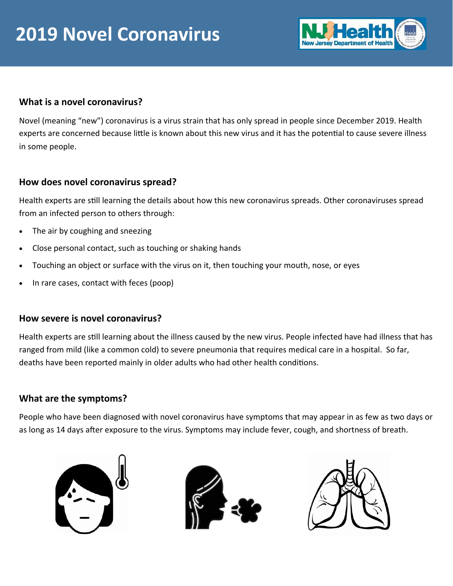

## **What is a novel coronavirus?**

Novel (meaning "new") coronavirus is a virus strain that has only spread in people since December 2019. Health experts are concerned because little is known about this new virus and it has the potential to cause severe illness in some people.

## **How does novel coronavirus spread?**

Health experts are sƟll learning the details about how this new coronavirus spreads. Other coronaviruses spread from an infected person to others through:

- The air by coughing and sneezing
- Close personal contact, such as touching or shaking hands
- Touching an object or surface with the virus on it, then touching your mouth, nose, or eyes
- In rare cases, contact with feces (poop)

## **How severe is novel coronavirus?**

Health experts are still learning about the illness caused by the new virus. People infected have had illness that has ranged from mild (like a common cold) to severe pneumonia that requires medical care in a hospital. So far, deaths have been reported mainly in older adults who had other health conditions.

## **What are the symptoms?**

People who have been diagnosed with novel coronavirus have symptoms that may appear in as few as two days or as long as 14 days after exposure to the virus. Symptoms may include fever, cough, and shortness of breath.